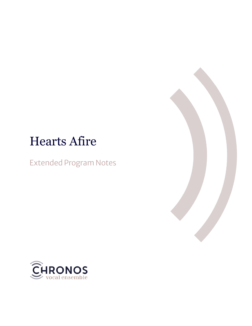# Hearts Afire

Extended Program Notes



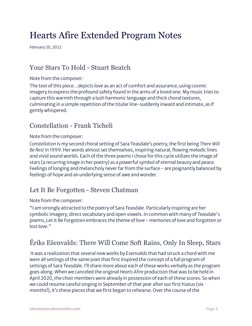## Hearts Afire Extended Program Notes

February 20, 2022

### Your Stars To Hold - Stuart Beatch

#### Note from the composer:

The text of this piece…depicts love as an act of comfort and assurance, using cosmic imagery to express the profound safety found in the arms of a loved one. My music tries to capture this warmth through a lush harmonic language and thick choral textures, culminating in a simple repetition of the titular line-suddenly inward and intimate, as if gently whispered.

#### Constellation - Frank Ticheli

#### Note from the composer:

*Constellation* is my second choral setting of Sara Teasdale's poetry, the first being *There Will Be Rest*in 1999. Her words almost set themselves, inspiring natural, flowing melodic lines and vivid sound worlds. Each of the three poems I chose for this cycle utilizes the image of stars (a recurring image in her poetry) as a powerful symbol of eternal beauty and peace. Feelings of longing and melancholy never far from the surface - are poignantly balanced by feelings of hope and an underlying sense of awe and wonder.

#### Let It Be Forgotten - Steven Chatman

#### Note from the composer:

"I am strongly attracted to the poetry of Sara Teasdale. Particularly inspiring are her symbolic imagery, direct vocabulary and open vowels. In common with many of Teasdale's poems, Let It Be Forgotten embraces the theme of love - memories of love and forgotten or lost love."

### Ēriks Ešenvalds: There Will Come Soft Rains, Only In Sleep, Stars

It was a realization that several new works by Esenvalds that had struck a chord with me were all settings of the same poet that first inspired the concept of a full program of settings of Sara Teasdale. I'll share more about each of these works verbally as the program goes along. When we canceled the original *Hearts Afire* production that was to be held in April 2020, the choir members were already in possession of each of these scores. So when we could resume careful singing in September of that year after our first hiatus (six months!), it's these pieces that we first began to rehearse. Over the course of the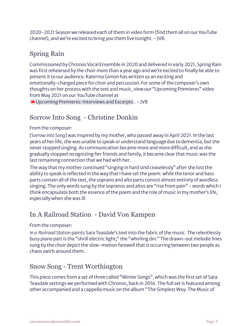2020-2021 Season we released each of them in video form (find them all on our YouTube channel), and we're excited to bring you them live tonight. - JVB

## Spring Rain

Commissioned by Chronos Vocal Ensemble in 2020 and delivered in early 2021, Spring Rain was first rehearsed by the choir more than a year ago and we're excited to finally be able to present it to our audience. Katerina Gimon has written us an exciting and emotionally-charged piece for choir and percussion. For some of the composer's own thoughts on her process with the text and music, view our "Upcoming Premieres" video from May 2021 on our YouTube channel at

■ Upcoming [Premieres:](https://www.youtube.com/watch?v=_8hZ4PmsL5c&t=23s) Interviews and Excerpts . - JVB

## Sorrow Into Song - Christine Donkin

#### From the composer:

*[Sorrow into Song*] was inspired by my mother, who passed away in April 2021. In the last years of her life, she was unable to speak or understand language due to dementia, but she never stopped singing. As communication became more and more difficult, and as she gradually stopped recognizing her friends and family, it became clear that music was the last remaining connection that we had with her.

The way that my mother continued "singing in hard sind ceaselessly" after she lost the ability to speak is reflected in the way that I have set the poem: while the tenor and bass parts contain all of the text, the soprano and alto parts consist almost entirely of wordless singing. The only words sung by the sopranos and altos are "rise from pain" - words which I think encapsulate both the essence of the poem and the role of music in my mother's life, especially when she was ill.

## In A Railroad Station - David Von Kampen

#### From the composer:

*In a Railroad Station* paints Sara Teasdale's text into the fabric of the music. The relentlessly busy piano part is the "shrill electric light;" the "whirling din." The drawn-out melodie lines sung by the choir depict the slow-motion farewell that is occurring between two people as chaos swirls around them.

### Snow Song - Trent Worthington

This piece comes from a set of three called "Winter Songs", which was the first set of Sara Teasdale settings we performed with Chronos, back in 2016. The full set is featured among other accompanied and a cappella music on the album "The Simplest Way: The Music of